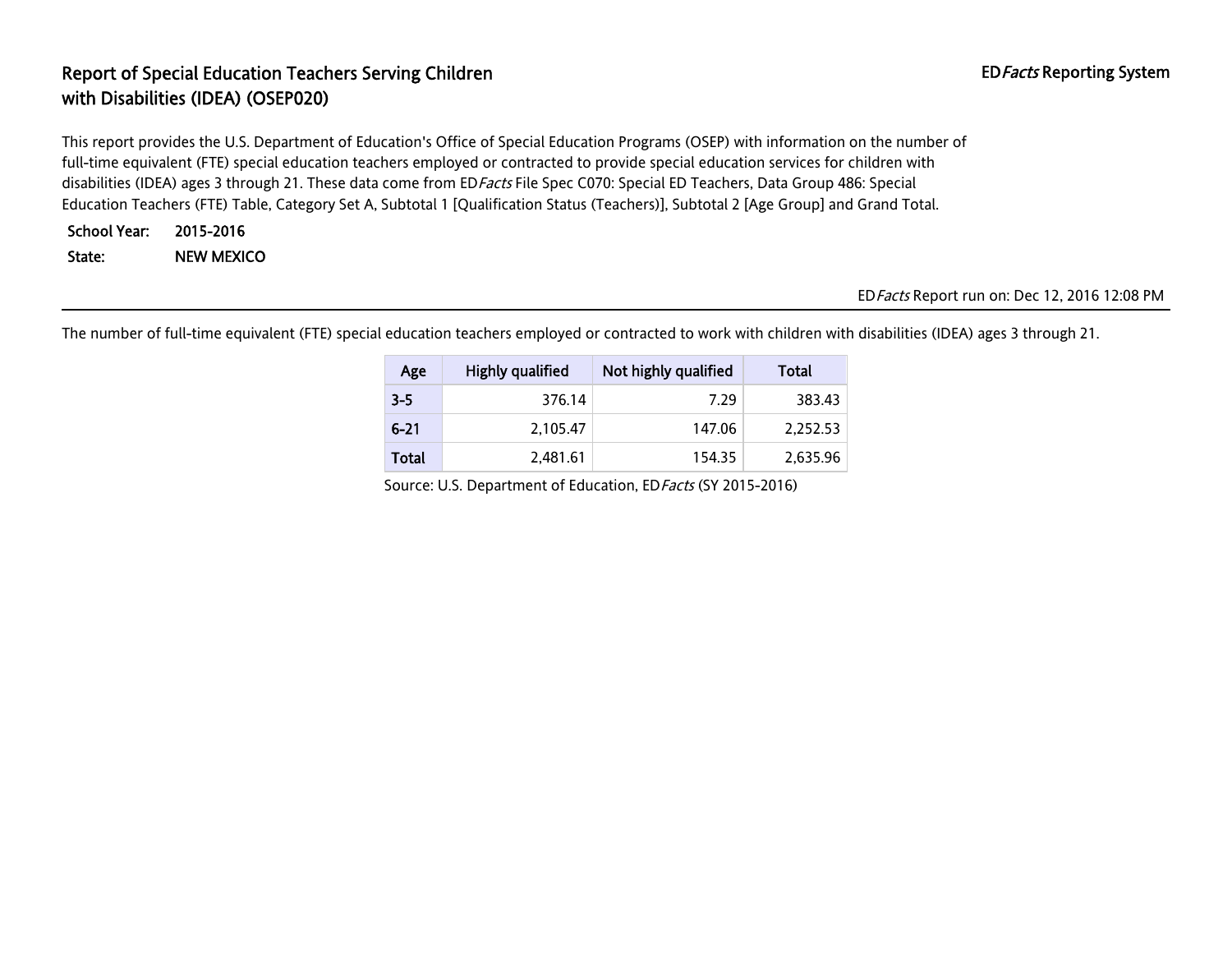# Report of Special Education Teachers Serving Children EDFacts Reporting System with Disabilities (IDEA) (OSEP020)

This report provides the U.S. Department of Education's Office of Special Education Programs (OSEP) with information on the number of full-time equivalent (FTE) special education teachers employed or contracted to provide special education services for children with disabilities (IDEA) ages 3 through 21. These data come from ED Facts File Spec C070: Special ED Teachers, Data Group 486: Special Education Teachers (FTE) Table, Category Set A, Subtotal 1 [Qualification Status (Teachers)], Subtotal 2 [Age Group] and Grand Total.

School Year: 2015-2016 State: NEW MEXICO

EDFacts Report run on: Dec 12, 2016 12:08 PM

The number of full-time equivalent (FTE) special education teachers employed or contracted to work with children with disabilities (IDEA) ages 3 through 21.

| Age          | Highly qualified | Not highly qualified | Total    |
|--------------|------------------|----------------------|----------|
| $3 - 5$      | 376.14           | 7.29                 | 383.43   |
| $6 - 21$     | 2.105.47         | 147.06               | 2.252.53 |
| <b>Total</b> | 2,481.61         | 154.35               | 2,635.96 |

Source: U.S. Department of Education, EDFacts (SY 2015-2016)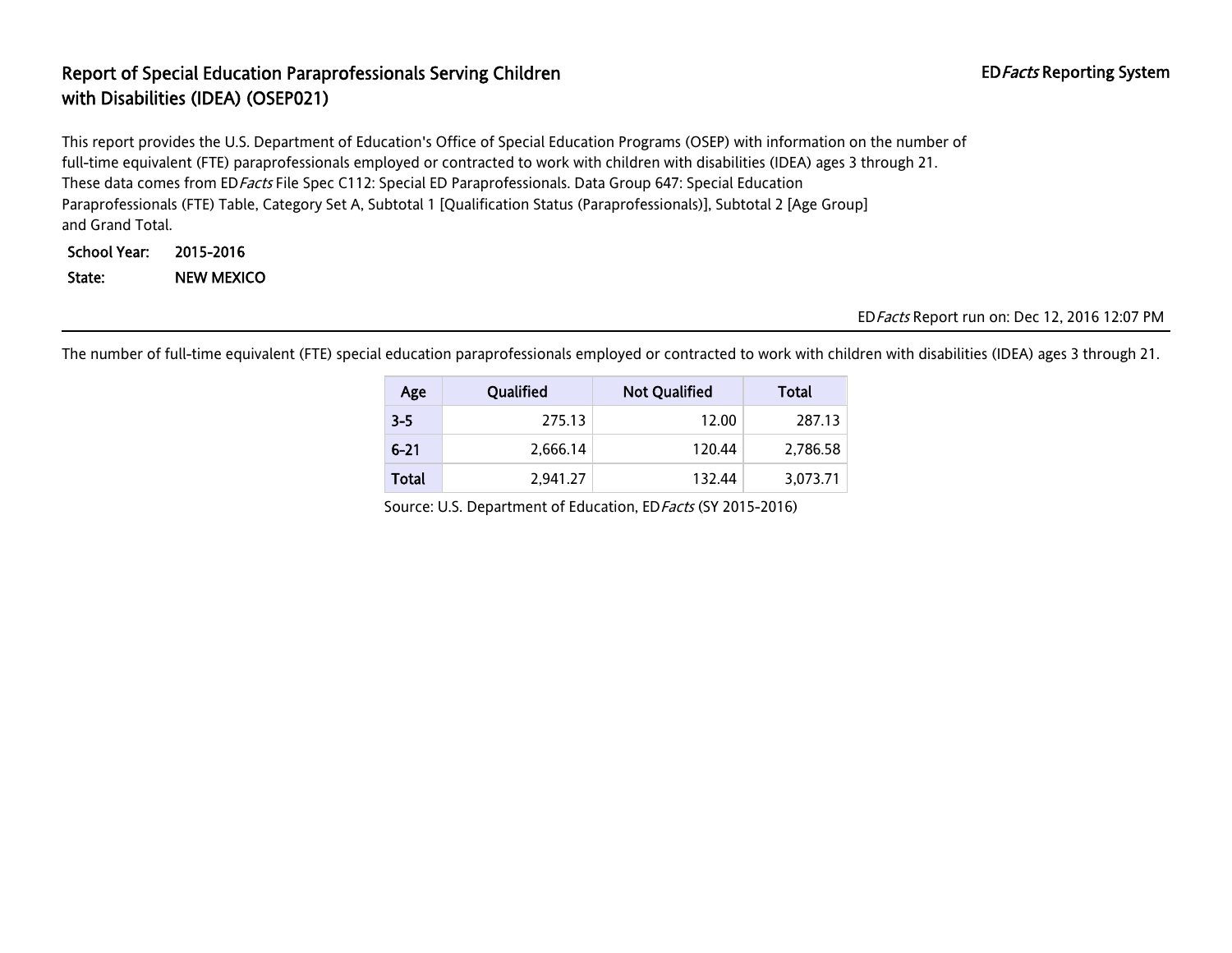### Report of Special Education Paraprofessionals Serving Children EDFacts Reporting System with Disabilities (IDEA) (OSEP021)

This report provides the U.S. Department of Education's Office of Special Education Programs (OSEP) with information on the number of full-time equivalent (FTE) paraprofessionals employed or contracted to work with children with disabilities (IDEA) ages 3 through 21. These data comes from EDFacts File Spec C112: Special ED Paraprofessionals. Data Group 647: Special Education Paraprofessionals (FTE) Table, Category Set A, Subtotal 1 [Qualification Status (Paraprofessionals)], Subtotal 2 [Age Group] and Grand Total.

School Year: 2015-2016 State: NEW MEXICO

### EDFacts Report run on: Dec 12, 2016 12:07 PM

The number of full-time equivalent (FTE) special education paraprofessionals employed or contracted to work with children with disabilities (IDEA) ages 3 through 21.

| Age          | Qualified | <b>Not Qualified</b> | Total    |
|--------------|-----------|----------------------|----------|
| $3 - 5$      | 275.13    | 12.00                | 287.13   |
| $6 - 21$     | 2,666.14  | 120.44               | 2,786.58 |
| <b>Total</b> | 2.941.27  | 132.44               | 3,073.71 |

Source: U.S. Department of Education, ED Facts (SY 2015-2016)